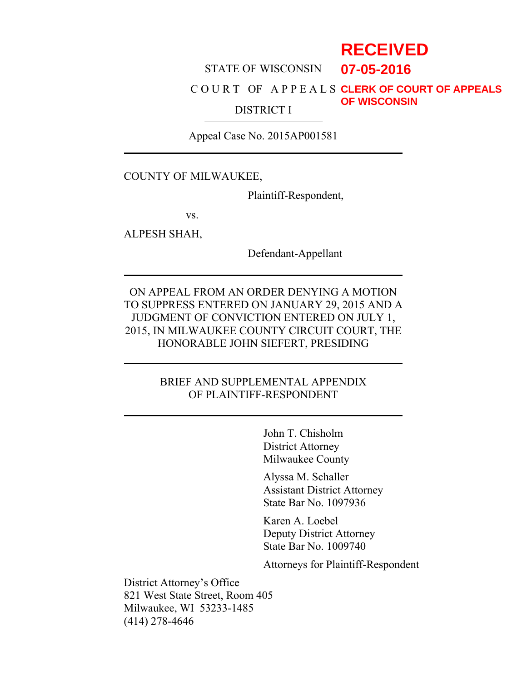# **RECEIVED**

**07-05-2016**

#### STATE OF WISCONSIN

#### C O U R T OF A P P E A L S **CLERK OF COURT OF APPEALS** DISTRICT I **OF WISCONSIN**

Appeal Case No. 2015AP001581

COUNTY OF MILWAUKEE,

Plaintiff-Respondent,

vs.

ALPESH SHAH,

Defendant-Appellant

ON APPEAL FROM AN ORDER DENYING A MOTION TO SUPPRESS ENTERED ON JANUARY 29, 2015 AND A JUDGMENT OF CONVICTION ENTERED ON JULY 1, 2015, IN MILWAUKEE COUNTY CIRCUIT COURT, THE HONORABLE JOHN SIEFERT, PRESIDING

# BRIEF AND SUPPLEMENTAL APPENDIX OF PLAINTIFF-RESPONDENT

John T. Chisholm District Attorney Milwaukee County

Alyssa M. Schaller Assistant District Attorney State Bar No. 1097936

Karen A. Loebel Deputy District Attorney State Bar No. 1009740

Attorneys for Plaintiff-Respondent

District Attorney's Office 821 West State Street, Room 405 Milwaukee, WI 53233-1485 (414) 278-4646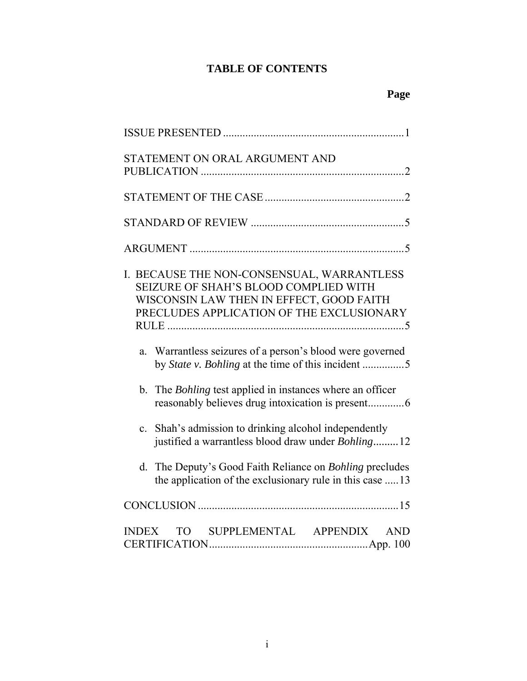# **TABLE OF CONTENTS**

| STATEMENT ON ORAL ARGUMENT AND                                                                                                                                               |
|------------------------------------------------------------------------------------------------------------------------------------------------------------------------------|
|                                                                                                                                                                              |
|                                                                                                                                                                              |
|                                                                                                                                                                              |
| I. BECAUSE THE NON-CONSENSUAL, WARRANTLESS<br>SEIZURE OF SHAH'S BLOOD COMPLIED WITH<br>WISCONSIN LAW THEN IN EFFECT, GOOD FAITH<br>PRECLUDES APPLICATION OF THE EXCLUSIONARY |
| Warrantless seizures of a person's blood were governed<br>a.<br>by State v. Bohling at the time of this incident 5                                                           |
| b. The <i>Bohling</i> test applied in instances where an officer                                                                                                             |
| Shah's admission to drinking alcohol independently<br>$\mathbf{c}$ .<br>justified a warrantless blood draw under Bohling12                                                   |
| The Deputy's Good Faith Reliance on <i>Bohling</i> precludes<br>d.<br>the application of the exclusionary rule in this case  13                                              |
|                                                                                                                                                                              |
| TO SUPPLEMENTAL APPENDIX AND<br><b>INDEX</b>                                                                                                                                 |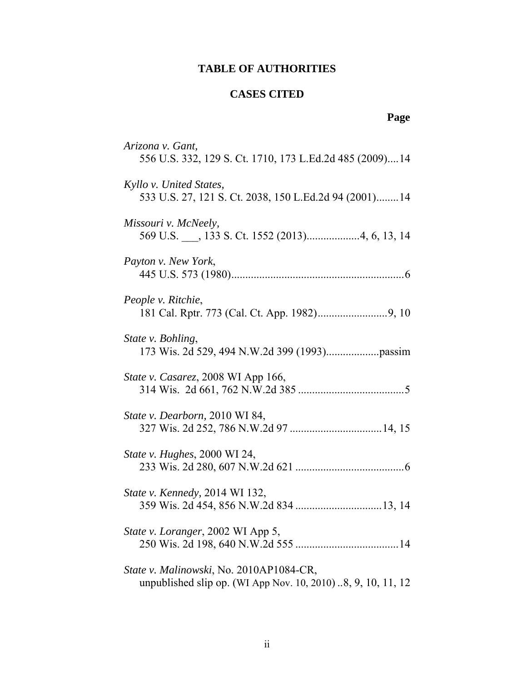# **TABLE OF AUTHORITIES**

# **CASES CITED**

# **Page**

| Arizona v. Gant,<br>556 U.S. 332, 129 S. Ct. 1710, 173 L.Ed.2d 485 (2009) 14                           |
|--------------------------------------------------------------------------------------------------------|
| Kyllo v. United States,<br>533 U.S. 27, 121 S. Ct. 2038, 150 L.Ed.2d 94 (2001)14                       |
| Missouri v. McNeely,                                                                                   |
| Payton v. New York,                                                                                    |
| People v. Ritchie,                                                                                     |
| State v. Bohling,                                                                                      |
| State v. Casarez, 2008 WI App 166,                                                                     |
| State v. Dearborn, 2010 WI 84,                                                                         |
| State v. Hughes, 2000 WI 24,                                                                           |
| State v. Kennedy, 2014 WI 132,                                                                         |
| State v. Loranger, 2002 WI App 5,                                                                      |
| State v. Malinowski, No. 2010AP1084-CR,<br>unpublished slip op. (WI App Nov. 10, 2010)8, 9, 10, 11, 12 |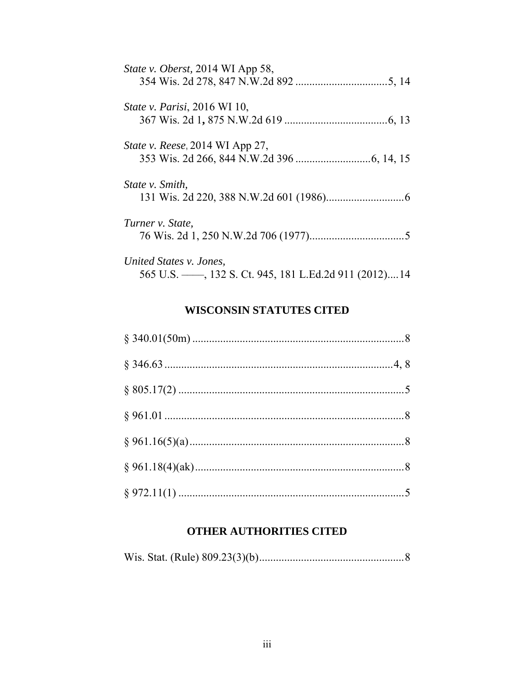| <i>State v. Oberst, 2014 WI App 58,</i> |
|-----------------------------------------|
| <i>State v. Parisi</i> , 2016 WI 10,    |
| <i>State v. Reese</i> , 2014 WI App 27, |
| State v. Smith,                         |
| Turner v. State,                        |
| United States v. Jones,                 |

# **WISCONSIN STATUTES CITED**

565 U.S. ——, 132 S. Ct. 945, 181 L.Ed.2d 911 (2012)....14

# **OTHER AUTHORITIES CITED**

|--|--|--|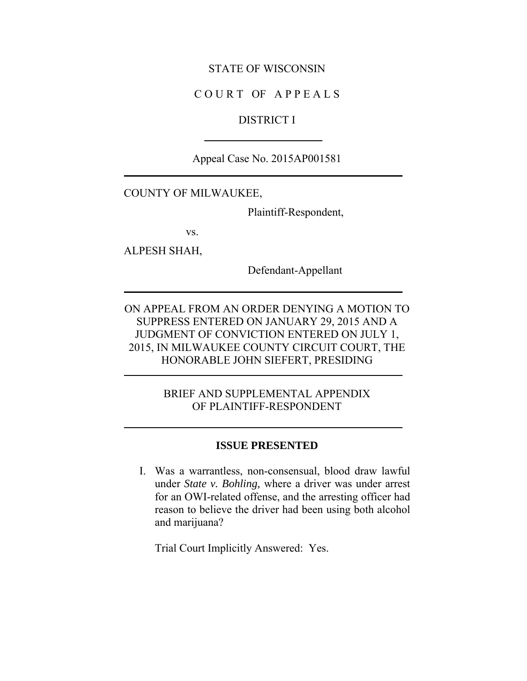#### STATE OF WISCONSIN

### C O U R T OF A P P E A L S

# DISTRICT I

Appeal Case No. 2015AP001581

#### COUNTY OF MILWAUKEE,

Plaintiff-Respondent,

vs.

ALPESH SHAH,

Defendant-Appellant

ON APPEAL FROM AN ORDER DENYING A MOTION TO SUPPRESS ENTERED ON JANUARY 29, 2015 AND A JUDGMENT OF CONVICTION ENTERED ON JULY 1, 2015, IN MILWAUKEE COUNTY CIRCUIT COURT, THE HONORABLE JOHN SIEFERT, PRESIDING

# BRIEF AND SUPPLEMENTAL APPENDIX OF PLAINTIFF-RESPONDENT

#### **ISSUE PRESENTED**

I. Was a warrantless, non-consensual, blood draw lawful under *State v. Bohling,* where a driver was under arrest for an OWI-related offense, and the arresting officer had reason to believe the driver had been using both alcohol and marijuana?

Trial Court Implicitly Answered: Yes.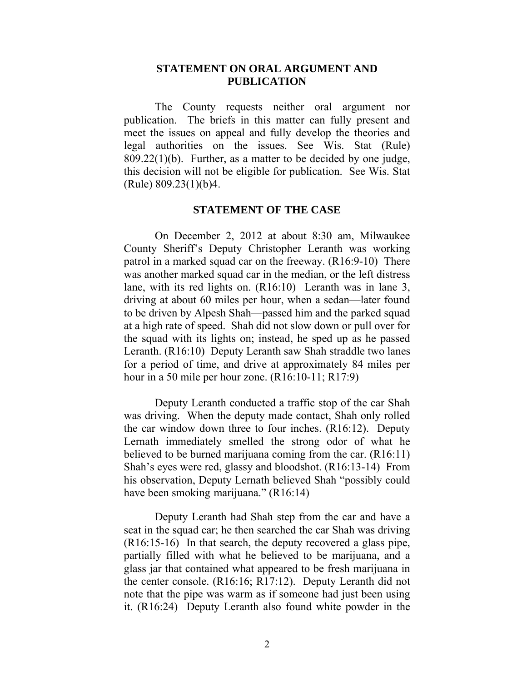### **STATEMENT ON ORAL ARGUMENT AND PUBLICATION**

The County requests neither oral argument nor publication. The briefs in this matter can fully present and meet the issues on appeal and fully develop the theories and legal authorities on the issues. See Wis. Stat (Rule) 809.22(1)(b). Further, as a matter to be decided by one judge, this decision will not be eligible for publication. See Wis. Stat (Rule) 809.23(1)(b)4.

#### **STATEMENT OF THE CASE**

On December 2, 2012 at about 8:30 am, Milwaukee County Sheriff's Deputy Christopher Leranth was working patrol in a marked squad car on the freeway. (R16:9-10) There was another marked squad car in the median, or the left distress lane, with its red lights on. (R16:10) Leranth was in lane 3, driving at about 60 miles per hour, when a sedan—later found to be driven by Alpesh Shah—passed him and the parked squad at a high rate of speed. Shah did not slow down or pull over for the squad with its lights on; instead, he sped up as he passed Leranth. (R16:10) Deputy Leranth saw Shah straddle two lanes for a period of time, and drive at approximately 84 miles per hour in a 50 mile per hour zone. (R16:10-11; R17:9)

Deputy Leranth conducted a traffic stop of the car Shah was driving. When the deputy made contact, Shah only rolled the car window down three to four inches. (R16:12). Deputy Lernath immediately smelled the strong odor of what he believed to be burned marijuana coming from the car. (R16:11) Shah's eyes were red, glassy and bloodshot. (R16:13-14) From his observation, Deputy Lernath believed Shah "possibly could have been smoking marijuana." (R16:14)

Deputy Leranth had Shah step from the car and have a seat in the squad car; he then searched the car Shah was driving (R16:15-16) In that search, the deputy recovered a glass pipe, partially filled with what he believed to be marijuana, and a glass jar that contained what appeared to be fresh marijuana in the center console. (R16:16; R17:12). Deputy Leranth did not note that the pipe was warm as if someone had just been using it. (R16:24) Deputy Leranth also found white powder in the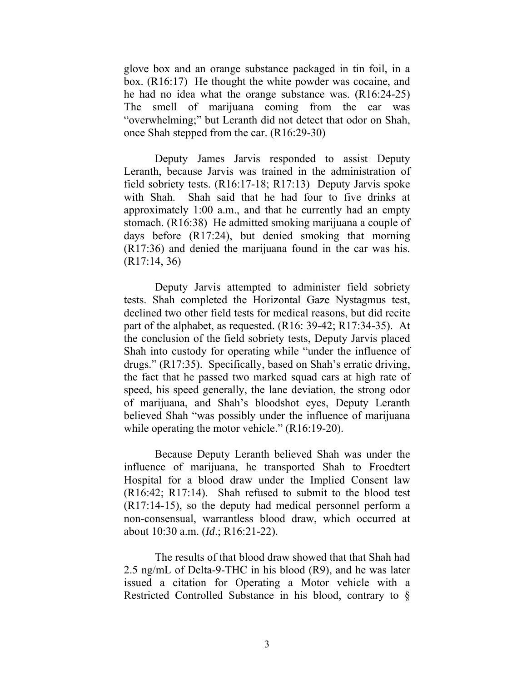glove box and an orange substance packaged in tin foil, in a box. (R16:17) He thought the white powder was cocaine, and he had no idea what the orange substance was. (R16:24-25) The smell of marijuana coming from the car was "overwhelming;" but Leranth did not detect that odor on Shah, once Shah stepped from the car. (R16:29-30)

Deputy James Jarvis responded to assist Deputy Leranth, because Jarvis was trained in the administration of field sobriety tests. (R16:17-18; R17:13) Deputy Jarvis spoke with Shah. Shah said that he had four to five drinks at approximately 1:00 a.m., and that he currently had an empty stomach. (R16:38) He admitted smoking marijuana a couple of days before (R17:24), but denied smoking that morning (R17:36) and denied the marijuana found in the car was his. (R17:14, 36)

Deputy Jarvis attempted to administer field sobriety tests. Shah completed the Horizontal Gaze Nystagmus test, declined two other field tests for medical reasons, but did recite part of the alphabet, as requested. (R16: 39-42; R17:34-35). At the conclusion of the field sobriety tests, Deputy Jarvis placed Shah into custody for operating while "under the influence of drugs." (R17:35). Specifically, based on Shah's erratic driving, the fact that he passed two marked squad cars at high rate of speed, his speed generally, the lane deviation, the strong odor of marijuana, and Shah's bloodshot eyes, Deputy Leranth believed Shah "was possibly under the influence of marijuana while operating the motor vehicle." (R16:19-20).

Because Deputy Leranth believed Shah was under the influence of marijuana, he transported Shah to Froedtert Hospital for a blood draw under the Implied Consent law (R16:42; R17:14). Shah refused to submit to the blood test (R17:14-15), so the deputy had medical personnel perform a non-consensual, warrantless blood draw, which occurred at about 10:30 a.m. (*Id*.; R16:21-22).

The results of that blood draw showed that that Shah had 2.5 ng/mL of Delta-9-THC in his blood (R9), and he was later issued a citation for Operating a Motor vehicle with a Restricted Controlled Substance in his blood, contrary to §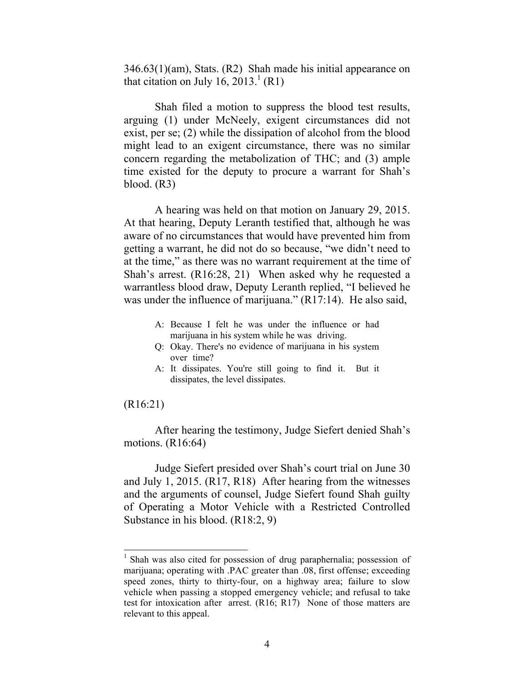346.63(1)(am), Stats. (R2) Shah made his initial appearance on that citation on July 16,  $2013.<sup>1</sup>$  (R1)

Shah filed a motion to suppress the blood test results, arguing (1) under McNeely, exigent circumstances did not exist, per se; (2) while the dissipation of alcohol from the blood might lead to an exigent circumstance, there was no similar concern regarding the metabolization of THC; and (3) ample time existed for the deputy to procure a warrant for Shah's blood. (R3)

A hearing was held on that motion on January 29, 2015. At that hearing, Deputy Leranth testified that, although he was aware of no circumstances that would have prevented him from getting a warrant, he did not do so because, "we didn't need to at the time," as there was no warrant requirement at the time of Shah's arrest. (R16:28, 21) When asked why he requested a warrantless blood draw, Deputy Leranth replied, "I believed he was under the influence of marijuana." (R17:14). He also said,

- A: Because I felt he was under the influence or had marijuana in his system while he was driving.
- Q: Okay. There's no evidence of marijuana in his system over time?
- A: It dissipates. You're still going to find it. But it dissipates, the level dissipates.

#### (R16:21)

 $\overline{a}$ 

After hearing the testimony, Judge Siefert denied Shah's motions. (R16:64)

Judge Siefert presided over Shah's court trial on June 30 and July 1, 2015. (R17, R18) After hearing from the witnesses and the arguments of counsel, Judge Siefert found Shah guilty of Operating a Motor Vehicle with a Restricted Controlled Substance in his blood. (R18:2, 9)

<sup>&</sup>lt;sup>1</sup> Shah was also cited for possession of drug paraphernalia; possession of marijuana; operating with .PAC greater than .08, first offense; exceeding speed zones, thirty to thirty-four, on a highway area; failure to slow vehicle when passing a stopped emergency vehicle; and refusal to take test for intoxication after arrest. (R16; R17) None of those matters are relevant to this appeal.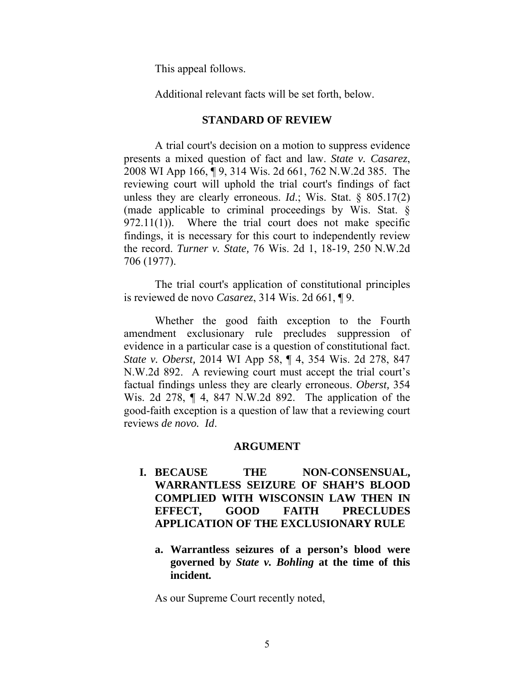This appeal follows.

Additional relevant facts will be set forth, below.

#### **STANDARD OF REVIEW**

A trial court's decision on a motion to suppress evidence presents a mixed question of fact and law. *State v. Casarez*, 2008 WI App 166, ¶ 9, 314 Wis. 2d 661, 762 N.W.2d 385. The reviewing court will uphold the trial court's findings of fact unless they are clearly erroneous. *Id*.; Wis. Stat. § 805.17(2) (made applicable to criminal proceedings by Wis. Stat. §  $972.11(1)$ ). Where the trial court does not make specific findings, it is necessary for this court to independently review the record. *Turner v. State,* 76 Wis. 2d 1, 18-19, 250 N.W.2d 706 (1977).

 The trial court's application of constitutional principles is reviewed de novo *Casarez*, 314 Wis. 2d 661, ¶ 9.

 Whether the good faith exception to the Fourth amendment exclusionary rule precludes suppression of evidence in a particular case is a question of constitutional fact. *State v. Oberst,* 2014 WI App 58, ¶ 4, 354 Wis. 2d 278, 847 N.W.2d 892. A reviewing court must accept the trial court's factual findings unless they are clearly erroneous. *Oberst,* 354 Wis. 2d 278, ¶ 4, 847 N.W.2d 892. The application of the good-faith exception is a question of law that a reviewing court reviews *de novo. Id*.

#### **ARGUMENT**

- **I. BECAUSE THE NON-CONSENSUAL, WARRANTLESS SEIZURE OF SHAH'S BLOOD COMPLIED WITH WISCONSIN LAW THEN IN EFFECT, GOOD FAITH PRECLUDES APPLICATION OF THE EXCLUSIONARY RULE** 
	- **a. Warrantless seizures of a person's blood were governed by** *State v. Bohling* **at the time of this incident***.*

As our Supreme Court recently noted,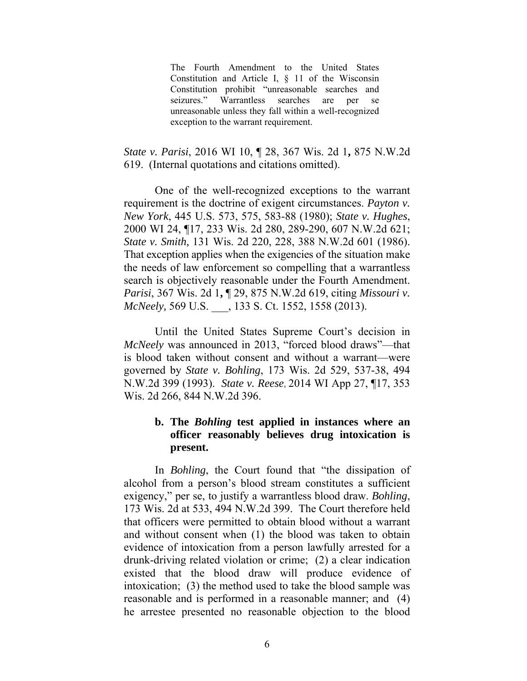The Fourth Amendment to the United States Constitution and Article I, § 11 of the Wisconsin Constitution prohibit "unreasonable searches and seizures." Warrantless searches are per se unreasonable unless they fall within a well-recognized exception to the warrant requirement.

*State v. Parisi*, 2016 WI 10, ¶ 28, 367 Wis. 2d 1**,** 875 N.W.2d 619. (Internal quotations and citations omitted).

One of the well-recognized exceptions to the warrant requirement is the doctrine of exigent circumstances. *Payton v. New York*, 445 U.S. 573, 575, 583-88 (1980); *State v. Hughes*, 2000 WI 24, ¶17, 233 Wis. 2d 280, 289-290, 607 N.W.2d 621; *State v. Smith,* 131 Wis. 2d 220, 228, 388 N.W.2d 601 (1986). That exception applies when the exigencies of the situation make the needs of law enforcement so compelling that a warrantless search is objectively reasonable under the Fourth Amendment. *Parisi*, 367 Wis. 2d 1**,** ¶ 29, 875 N.W.2d 619, citing *Missouri v. McNeely,* 569 U.S. \_\_\_, 133 S. Ct. 1552, 1558 (2013).

Until the United States Supreme Court's decision in *McNeely* was announced in 2013, "forced blood draws"—that is blood taken without consent and without a warrant—were governed by *State v. Bohling*, 173 Wis. 2d 529, 537-38, 494 N.W.2d 399 (1993). *State v. Reese***,** 2014 WI App 27, ¶17, 353 Wis. 2d 266, 844 N.W.2d 396.

# **b. The** *Bohling* **test applied in instances where an officer reasonably believes drug intoxication is present.**

In *Bohling*, the Court found that "the dissipation of alcohol from a person's blood stream constitutes a sufficient exigency," per se, to justify a warrantless blood draw. *Bohling*, 173 Wis. 2d at 533, 494 N.W.2d 399. The Court therefore held that officers were permitted to obtain blood without a warrant and without consent when (1) the blood was taken to obtain evidence of intoxication from a person lawfully arrested for a drunk-driving related violation or crime; (2) a clear indication existed that the blood draw will produce evidence of intoxication; (3) the method used to take the blood sample was reasonable and is performed in a reasonable manner; and (4) he arrestee presented no reasonable objection to the blood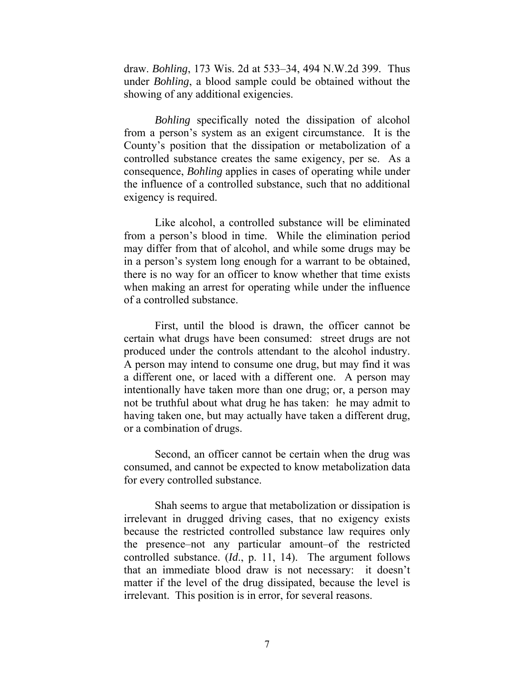draw. *Bohling*, 173 Wis. 2d at 533–34, 494 N.W.2d 399. Thus under *Bohling*, a blood sample could be obtained without the showing of any additional exigencies.

*Bohling* specifically noted the dissipation of alcohol from a person's system as an exigent circumstance. It is the County's position that the dissipation or metabolization of a controlled substance creates the same exigency, per se. As a consequence, *Bohling* applies in cases of operating while under the influence of a controlled substance, such that no additional exigency is required.

Like alcohol, a controlled substance will be eliminated from a person's blood in time. While the elimination period may differ from that of alcohol, and while some drugs may be in a person's system long enough for a warrant to be obtained, there is no way for an officer to know whether that time exists when making an arrest for operating while under the influence of a controlled substance.

First, until the blood is drawn, the officer cannot be certain what drugs have been consumed: street drugs are not produced under the controls attendant to the alcohol industry. A person may intend to consume one drug, but may find it was a different one, or laced with a different one. A person may intentionally have taken more than one drug; or, a person may not be truthful about what drug he has taken: he may admit to having taken one, but may actually have taken a different drug, or a combination of drugs.

Second, an officer cannot be certain when the drug was consumed, and cannot be expected to know metabolization data for every controlled substance.

Shah seems to argue that metabolization or dissipation is irrelevant in drugged driving cases, that no exigency exists because the restricted controlled substance law requires only the presence–not any particular amount–of the restricted controlled substance. (*Id*., p. 11, 14). The argument follows that an immediate blood draw is not necessary: it doesn't matter if the level of the drug dissipated, because the level is irrelevant. This position is in error, for several reasons.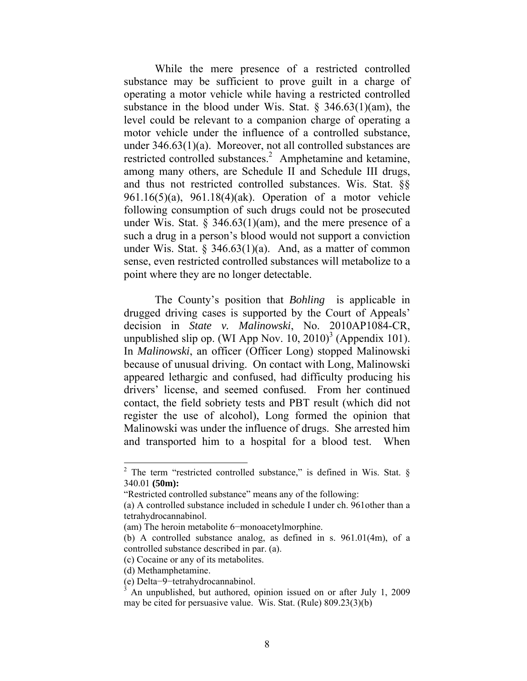While the mere presence of a restricted controlled substance may be sufficient to prove guilt in a charge of operating a motor vehicle while having a restricted controlled substance in the blood under Wis. Stat.  $\S$  346.63(1)(am), the level could be relevant to a companion charge of operating a motor vehicle under the influence of a controlled substance, under 346.63(1)(a). Moreover, not all controlled substances are restricted controlled substances.<sup>2</sup> Amphetamine and ketamine, among many others, are Schedule II and Schedule III drugs, and thus not restricted controlled substances. Wis. Stat. §§ 961.16(5)(a), 961.18(4)(ak). Operation of a motor vehicle following consumption of such drugs could not be prosecuted under Wis. Stat.  $\S$  346.63(1)(am), and the mere presence of a such a drug in a person's blood would not support a conviction under Wis. Stat.  $\S$  346.63(1)(a). And, as a matter of common sense, even restricted controlled substances will metabolize to a point where they are no longer detectable.

The County's position that *Bohling* is applicable in drugged driving cases is supported by the Court of Appeals' decision in *State v. Malinowski*, No. 2010AP1084-CR, unpublished slip op. (WI App Nov.  $10, 2010$ <sup>3</sup> (Appendix 101). In *Malinowski*, an officer (Officer Long) stopped Malinowski because of unusual driving. On contact with Long, Malinowski appeared lethargic and confused, had difficulty producing his drivers' license, and seemed confused. From her continued contact, the field sobriety tests and PBT result (which did not register the use of alcohol), Long formed the opinion that Malinowski was under the influence of drugs. She arrested him and transported him to a hospital for a blood test. When

 $\overline{a}$ 

<sup>&</sup>lt;sup>2</sup> The term "restricted controlled substance," is defined in Wis. Stat.  $\S$ 340.01 **(50m):** 

<sup>&</sup>quot;Restricted controlled substance" means any of the following:

<sup>(</sup>a) A controlled substance included in schedule I under ch. 961other than a tetrahydrocannabinol.

<sup>(</sup>am) The heroin metabolite 6−monoacetylmorphine.

<sup>(</sup>b) A controlled substance analog, as defined in s. 961.01(4m), of a controlled substance described in par. (a).

<sup>(</sup>c) Cocaine or any of its metabolites.

<sup>(</sup>d) Methamphetamine.

<sup>(</sup>e) Delta−9−tetrahydrocannabinol.

<sup>3</sup> An unpublished, but authored, opinion issued on or after July 1, 2009 may be cited for persuasive value. Wis. Stat. (Rule) 809.23(3)(b)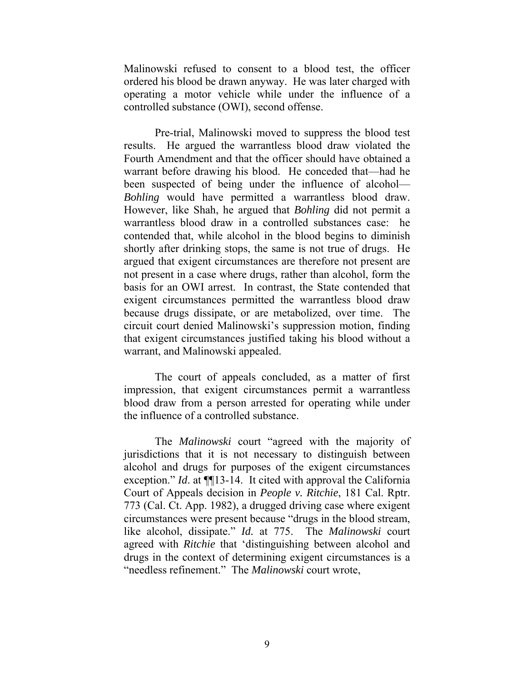Malinowski refused to consent to a blood test, the officer ordered his blood be drawn anyway. He was later charged with operating a motor vehicle while under the influence of a controlled substance (OWI), second offense.

Pre-trial, Malinowski moved to suppress the blood test results. He argued the warrantless blood draw violated the Fourth Amendment and that the officer should have obtained a warrant before drawing his blood. He conceded that—had he been suspected of being under the influence of alcohol— *Bohling* would have permitted a warrantless blood draw. However, like Shah, he argued that *Bohling* did not permit a warrantless blood draw in a controlled substances case: he contended that, while alcohol in the blood begins to diminish shortly after drinking stops, the same is not true of drugs. He argued that exigent circumstances are therefore not present are not present in a case where drugs, rather than alcohol, form the basis for an OWI arrest. In contrast, the State contended that exigent circumstances permitted the warrantless blood draw because drugs dissipate, or are metabolized, over time. The circuit court denied Malinowski's suppression motion, finding that exigent circumstances justified taking his blood without a warrant, and Malinowski appealed.

The court of appeals concluded, as a matter of first impression, that exigent circumstances permit a warrantless blood draw from a person arrested for operating while under the influence of a controlled substance.

The *Malinowski* court "agreed with the majority of jurisdictions that it is not necessary to distinguish between alcohol and drugs for purposes of the exigent circumstances exception." *Id.* at  $\P$ [13-14. It cited with approval the California Court of Appeals decision in *People v. Ritchie*, 181 Cal. Rptr. 773 (Cal. Ct. App. 1982), a drugged driving case where exigent circumstances were present because "drugs in the blood stream, like alcohol, dissipate." *Id.* at 775. The *Malinowski* court agreed with *Ritchie* that 'distinguishing between alcohol and drugs in the context of determining exigent circumstances is a "needless refinement." The *Malinowski* court wrote,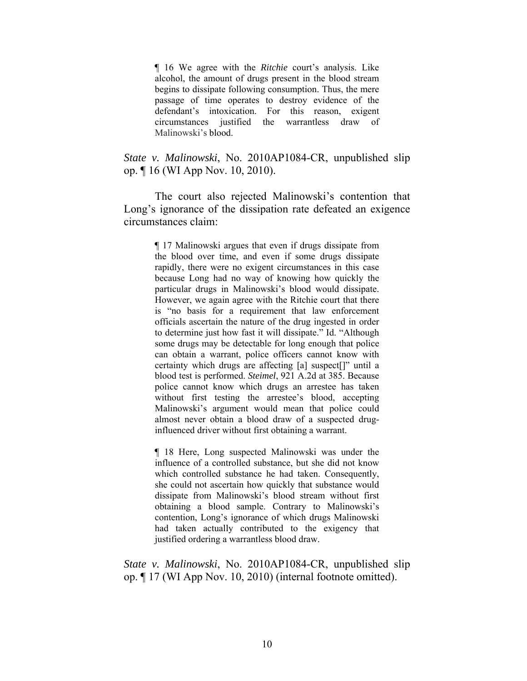¶ 16 We agree with the *Ritchie* court's analysis. Like alcohol, the amount of drugs present in the blood stream begins to dissipate following consumption. Thus, the mere passage of time operates to destroy evidence of the defendant's intoxication. For this reason, exigent circumstances justified the warrantless draw of Malinowski's blood.

### *State v. Malinowski*, No. 2010AP1084-CR, unpublished slip op. ¶ 16 (WI App Nov. 10, 2010).

The court also rejected Malinowski's contention that Long's ignorance of the dissipation rate defeated an exigence circumstances claim:

> ¶ 17 Malinowski argues that even if drugs dissipate from the blood over time, and even if some drugs dissipate rapidly, there were no exigent circumstances in this case because Long had no way of knowing how quickly the particular drugs in Malinowski's blood would dissipate. However, we again agree with the Ritchie court that there is "no basis for a requirement that law enforcement officials ascertain the nature of the drug ingested in order to determine just how fast it will dissipate." Id. "Although some drugs may be detectable for long enough that police can obtain a warrant, police officers cannot know with certainty which drugs are affecting [a] suspect[]" until a blood test is performed. *Steimel*, 921 A.2d at 385. Because police cannot know which drugs an arrestee has taken without first testing the arrestee's blood, accepting Malinowski's argument would mean that police could almost never obtain a blood draw of a suspected druginfluenced driver without first obtaining a warrant.

> ¶ 18 Here, Long suspected Malinowski was under the influence of a controlled substance, but she did not know which controlled substance he had taken. Consequently, she could not ascertain how quickly that substance would dissipate from Malinowski's blood stream without first obtaining a blood sample. Contrary to Malinowski's contention, Long's ignorance of which drugs Malinowski had taken actually contributed to the exigency that justified ordering a warrantless blood draw.

*State v. Malinowski*, No. 2010AP1084-CR, unpublished slip op. ¶ 17 (WI App Nov. 10, 2010) (internal footnote omitted).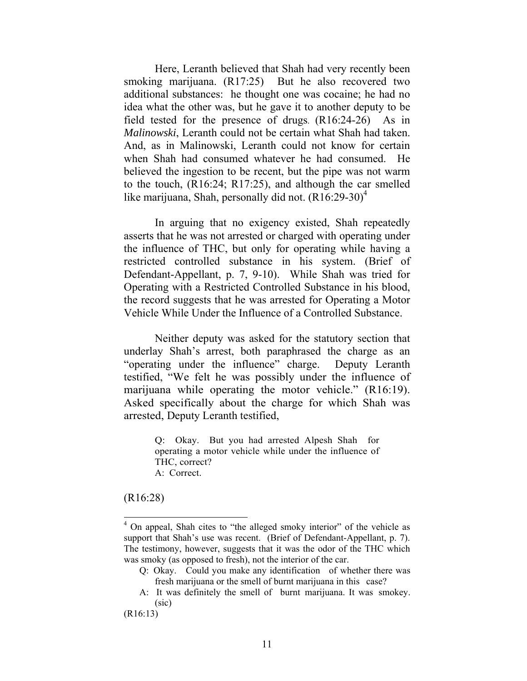Here, Leranth believed that Shah had very recently been smoking marijuana. (R17:25) But he also recovered two additional substances: he thought one was cocaine; he had no idea what the other was, but he gave it to another deputy to be field tested for the presence of drugs. (R16:24-26) As in *Malinowski*, Leranth could not be certain what Shah had taken. And, as in Malinowski, Leranth could not know for certain when Shah had consumed whatever he had consumed. He believed the ingestion to be recent, but the pipe was not warm to the touch, (R16:24; R17:25), and although the car smelled like marijuana, Shah, personally did not.  $(R16:29-30)^4$ 

In arguing that no exigency existed, Shah repeatedly asserts that he was not arrested or charged with operating under the influence of THC, but only for operating while having a restricted controlled substance in his system. (Brief of Defendant-Appellant, p. 7, 9-10). While Shah was tried for Operating with a Restricted Controlled Substance in his blood, the record suggests that he was arrested for Operating a Motor Vehicle While Under the Influence of a Controlled Substance.

Neither deputy was asked for the statutory section that underlay Shah's arrest, both paraphrased the charge as an "operating under the influence" charge. Deputy Leranth testified, "We felt he was possibly under the influence of marijuana while operating the motor vehicle." (R16:19). Asked specifically about the charge for which Shah was arrested, Deputy Leranth testified,

> Q: Okay. But you had arrested Alpesh Shah for operating a motor vehicle while under the influence of THC, correct? A: Correct.

#### (R16:28)

 $\overline{a}$ 

(R16:13)

<sup>&</sup>lt;sup>4</sup> On appeal, Shah cites to "the alleged smoky interior" of the vehicle as support that Shah's use was recent. (Brief of Defendant-Appellant, p. 7). The testimony, however, suggests that it was the odor of the THC which was smoky (as opposed to fresh), not the interior of the car.

Q: Okay. Could you make any identification of whether there was fresh marijuana or the smell of burnt marijuana in this case?

A: It was definitely the smell of burnt marijuana. It was smokey. (sic)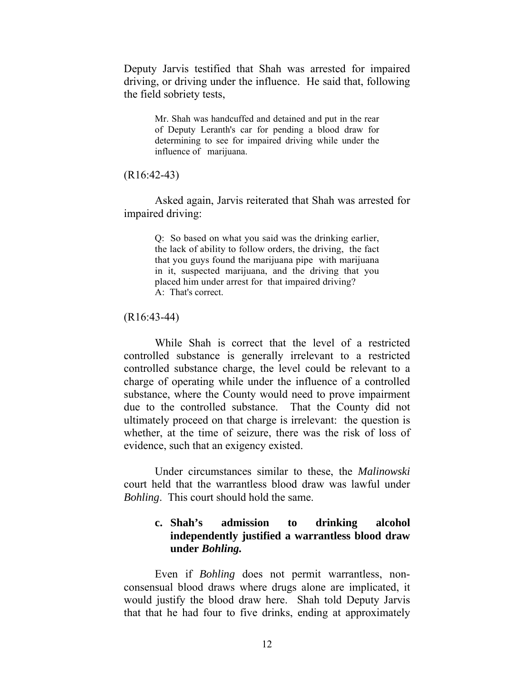Deputy Jarvis testified that Shah was arrested for impaired driving, or driving under the influence. He said that, following the field sobriety tests,

> Mr. Shah was handcuffed and detained and put in the rear of Deputy Leranth's car for pending a blood draw for determining to see for impaired driving while under the influence of marijuana.

(R16:42-43)

 Asked again, Jarvis reiterated that Shah was arrested for impaired driving:

> Q: So based on what you said was the drinking earlier, the lack of ability to follow orders, the driving, the fact that you guys found the marijuana pipe with marijuana in it, suspected marijuana, and the driving that you placed him under arrest for that impaired driving? A: That's correct.

(R16:43-44)

While Shah is correct that the level of a restricted controlled substance is generally irrelevant to a restricted controlled substance charge, the level could be relevant to a charge of operating while under the influence of a controlled substance, where the County would need to prove impairment due to the controlled substance. That the County did not ultimately proceed on that charge is irrelevant: the question is whether, at the time of seizure, there was the risk of loss of evidence, such that an exigency existed.

Under circumstances similar to these, the *Malinowski*  court held that the warrantless blood draw was lawful under *Bohling*. This court should hold the same.

### **c. Shah's admission to drinking alcohol independently justified a warrantless blood draw under** *Bohling.*

Even if *Bohling* does not permit warrantless, nonconsensual blood draws where drugs alone are implicated, it would justify the blood draw here. Shah told Deputy Jarvis that that he had four to five drinks, ending at approximately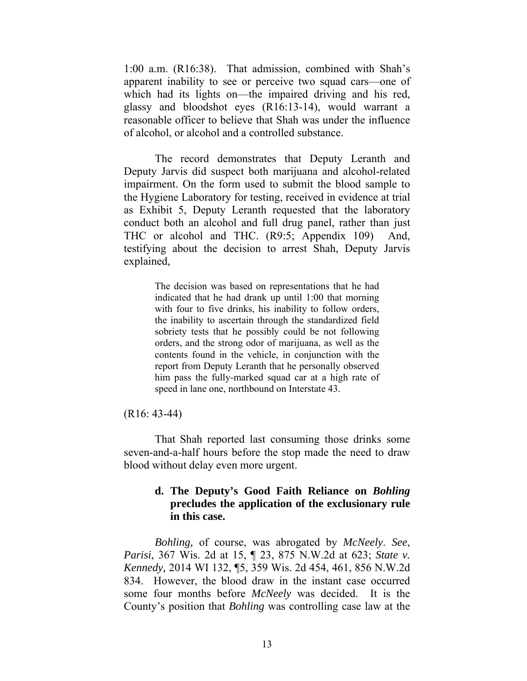1:00 a.m. (R16:38). That admission, combined with Shah's apparent inability to see or perceive two squad cars—one of which had its lights on—the impaired driving and his red, glassy and bloodshot eyes (R16:13-14), would warrant a reasonable officer to believe that Shah was under the influence of alcohol, or alcohol and a controlled substance.

The record demonstrates that Deputy Leranth and Deputy Jarvis did suspect both marijuana and alcohol-related impairment. On the form used to submit the blood sample to the Hygiene Laboratory for testing, received in evidence at trial as Exhibit 5, Deputy Leranth requested that the laboratory conduct both an alcohol and full drug panel, rather than just THC or alcohol and THC. (R9:5; Appendix 109) And, testifying about the decision to arrest Shah, Deputy Jarvis explained,

> The decision was based on representations that he had indicated that he had drank up until 1:00 that morning with four to five drinks, his inability to follow orders, the inability to ascertain through the standardized field sobriety tests that he possibly could be not following orders, and the strong odor of marijuana, as well as the contents found in the vehicle, in conjunction with the report from Deputy Leranth that he personally observed him pass the fully-marked squad car at a high rate of speed in lane one, northbound on Interstate 43.

(R16: 43-44)

That Shah reported last consuming those drinks some seven-and-a-half hours before the stop made the need to draw blood without delay even more urgent.

# **d. The Deputy's Good Faith Reliance on** *Bohling* **precludes the application of the exclusionary rule in this case.**

*Bohling,* of course, was abrogated by *McNeely*. *See*, *Parisi*, 367 Wis. 2d at 15, ¶ 23, 875 N.W.2d at 623; *State v. Kennedy,* 2014 WI 132, ¶5, 359 Wis. 2d 454, 461, 856 N.W.2d 834. However, the blood draw in the instant case occurred some four months before *McNeely* was decided. It is the County's position that *Bohling* was controlling case law at the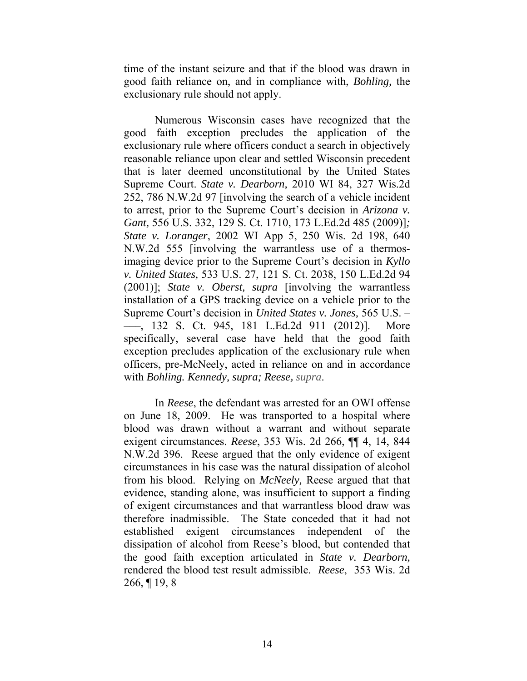time of the instant seizure and that if the blood was drawn in good faith reliance on, and in compliance with, *Bohling,* the exclusionary rule should not apply.

Numerous Wisconsin cases have recognized that the good faith exception precludes the application of the exclusionary rule where officers conduct a search in objectively reasonable reliance upon clear and settled Wisconsin precedent that is later deemed unconstitutional by the United States Supreme Court. *State v. Dearborn,* 2010 WI 84, 327 Wis.2d 252, 786 N.W.2d 97 [involving the search of a vehicle incident to arrest, prior to the Supreme Court's decision in *Arizona v. Gant,* 556 U.S. 332, 129 S. Ct. 1710, 173 L.Ed.2d 485 (2009)]*; State v. Loranger*, 2002 WI App 5, 250 Wis. 2d 198, 640 N.W.2d 555 [involving the warrantless use of a thermosimaging device prior to the Supreme Court's decision in *Kyllo v. United States,* 533 U.S. 27, 121 S. Ct. 2038, 150 L.Ed.2d 94 (2001)]; *State v. Oberst, supra* [involving the warrantless installation of a GPS tracking device on a vehicle prior to the Supreme Court's decision in *United States v. Jones,* 565 U.S. – –––, 132 S. Ct. 945, 181 L.Ed.2d 911 (2012)]. More specifically, several case have held that the good faith exception precludes application of the exclusionary rule when officers, pre-McNeely, acted in reliance on and in accordance with *Bohling. Kennedy, supra; Reese***,** *supra*.

In *Reese*, the defendant was arrested for an OWI offense on June 18, 2009. He was transported to a hospital where blood was drawn without a warrant and without separate exigent circumstances. *Reese*, 353 Wis. 2d 266, ¶¶ 4, 14, 844 N.W.2d 396. Reese argued that the only evidence of exigent circumstances in his case was the natural dissipation of alcohol from his blood. Relying on *McNeely,* Reese argued that that evidence, standing alone, was insufficient to support a finding of exigent circumstances and that warrantless blood draw was therefore inadmissible. The State conceded that it had not established exigent circumstances independent of the dissipation of alcohol from Reese's blood, but contended that the good faith exception articulated in *State v. Dearborn,* rendered the blood test result admissible. *Reese*, 353 Wis. 2d 266, ¶ 19, 8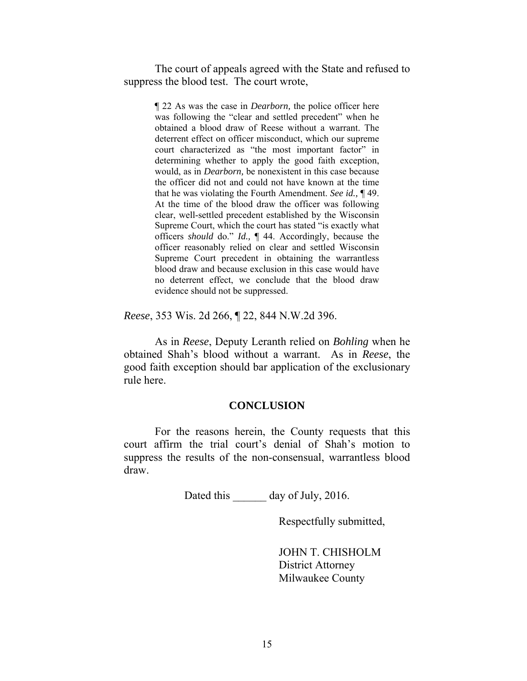The court of appeals agreed with the State and refused to suppress the blood test. The court wrote,

> ¶ 22 As was the case in *Dearborn,* the police officer here was following the "clear and settled precedent" when he obtained a blood draw of Reese without a warrant. The deterrent effect on officer misconduct, which our supreme court characterized as "the most important factor" in determining whether to apply the good faith exception, would, as in *Dearborn,* be nonexistent in this case because the officer did not and could not have known at the time that he was violating the Fourth Amendment. *See id.,* ¶ 49. At the time of the blood draw the officer was following clear, well-settled precedent established by the Wisconsin Supreme Court, which the court has stated "is exactly what officers *should* do." *Id.,* ¶ 44. Accordingly, because the officer reasonably relied on clear and settled Wisconsin Supreme Court precedent in obtaining the warrantless blood draw and because exclusion in this case would have no deterrent effect, we conclude that the blood draw evidence should not be suppressed.

*Reese*, 353 Wis. 2d 266, ¶ 22, 844 N.W.2d 396.

 As in *Reese*, Deputy Leranth relied on *Bohling* when he obtained Shah's blood without a warrant. As in *Reese*, the good faith exception should bar application of the exclusionary rule here.

#### **CONCLUSION**

For the reasons herein, the County requests that this court affirm the trial court's denial of Shah's motion to suppress the results of the non-consensual, warrantless blood draw.

Dated this day of July, 2016.

Respectfully submitted,

 JOHN T. CHISHOLM District Attorney Milwaukee County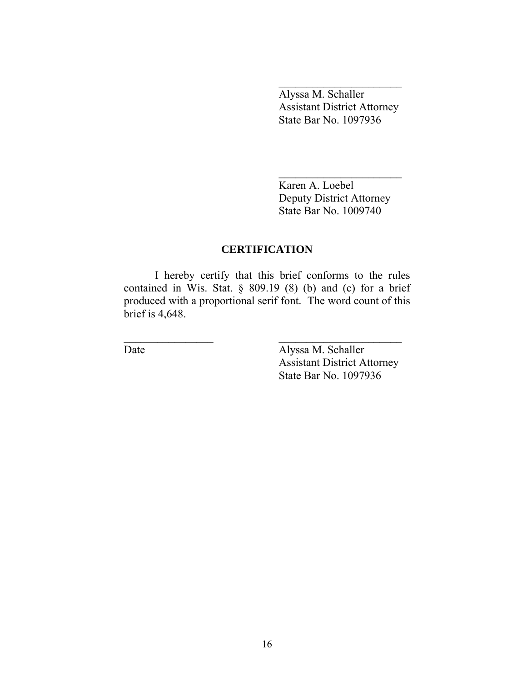Alyssa M. Schaller Assistant District Attorney State Bar No. 1097936

 Karen A. Loebel Deputy District Attorney State Bar No. 1009740

# **CERTIFICATION**

 I hereby certify that this brief conforms to the rules contained in Wis. Stat. § 809.19 (8) (b) and (c) for a brief produced with a proportional serif font. The word count of this brief is 4,648.

\_\_\_\_\_\_\_\_\_\_\_\_\_\_\_\_ \_\_\_\_\_\_\_\_\_\_\_\_\_\_\_\_\_\_\_\_\_\_

Date **Alyssa M. Schaller**  Assistant District Attorney State Bar No. 1097936